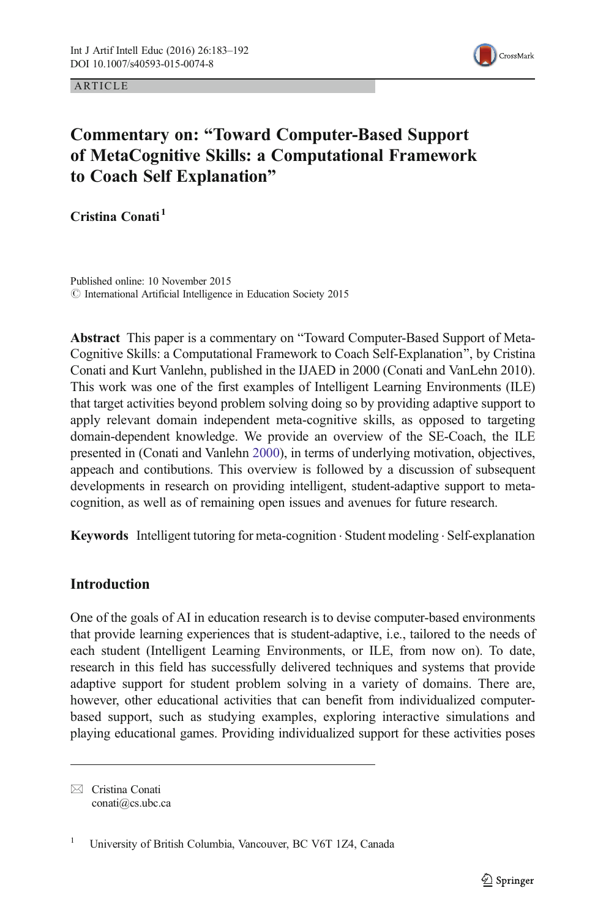ARTICLE



# Commentary on: "Toward Computer-Based Support of MetaCognitive Skills: a Computational Framework to Coach Self Explanation"

Cristina Conati<sup>1</sup>

Published online: 10 November 2015 © International Artificial Intelligence in Education Society 2015

Abstract This paper is a commentary on "Toward Computer-Based Support of Meta-Cognitive Skills: a Computational Framework to Coach Self-Explanation^, by Cristina Conati and Kurt Vanlehn, published in the IJAED in 2000 (Conati and VanLehn 2010). This work was one of the first examples of Intelligent Learning Environments (ILE) that target activities beyond problem solving doing so by providing adaptive support to apply relevant domain independent meta-cognitive skills, as opposed to targeting domain-dependent knowledge. We provide an overview of the SE-Coach, the ILE presented in (Conati and Vanlehn [2000\)](#page-8-0), in terms of underlying motivation, objectives, appeach and contibutions. This overview is followed by a discussion of subsequent developments in research on providing intelligent, student-adaptive support to metacognition, as well as of remaining open issues and avenues for future research.

Keywords Intelligent tutoring for meta-cognition . Student modeling . Self-explanation

# Introduction

One of the goals of AI in education research is to devise computer-based environments that provide learning experiences that is student-adaptive, i.e., tailored to the needs of each student (Intelligent Learning Environments, or ILE, from now on). To date, research in this field has successfully delivered techniques and systems that provide adaptive support for student problem solving in a variety of domains. There are, however, other educational activities that can benefit from individualized computerbased support, such as studying examples, exploring interactive simulations and playing educational games. Providing individualized support for these activities poses

 $\boxtimes$  Cristina Conati conati@cs.ubc.ca

<sup>&</sup>lt;sup>1</sup> University of British Columbia, Vancouver, BC V6T 1Z4, Canada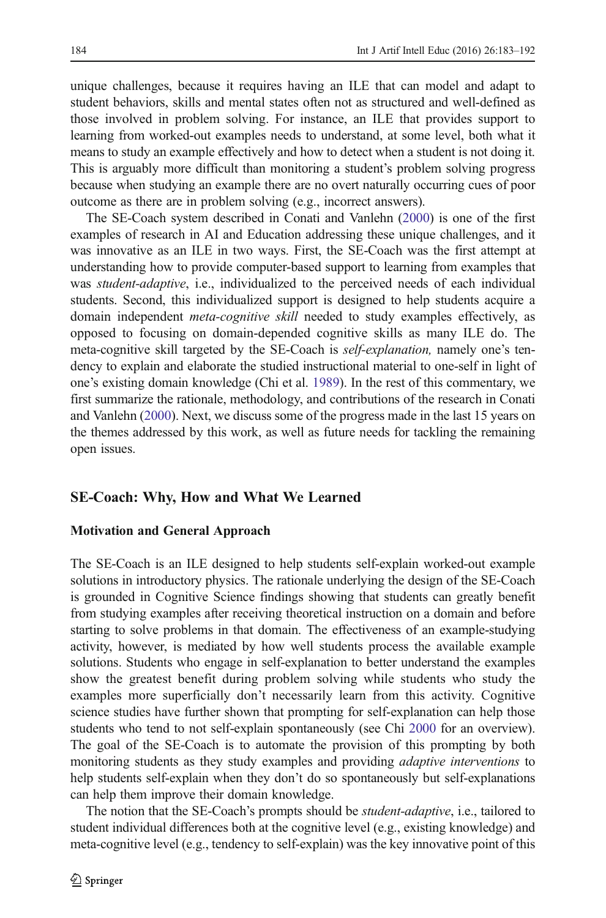unique challenges, because it requires having an ILE that can model and adapt to student behaviors, skills and mental states often not as structured and well-defined as those involved in problem solving. For instance, an ILE that provides support to learning from worked-out examples needs to understand, at some level, both what it means to study an example effectively and how to detect when a student is not doing it. This is arguably more difficult than monitoring a student's problem solving progress because when studying an example there are no overt naturally occurring cues of poor outcome as there are in problem solving (e.g., incorrect answers).

The SE-Coach system described in Conati and Vanlehn [\(2000\)](#page-8-0) is one of the first examples of research in AI and Education addressing these unique challenges, and it was innovative as an ILE in two ways. First, the SE-Coach was the first attempt at understanding how to provide computer-based support to learning from examples that was *student-adaptive*, i.e., individualized to the perceived needs of each individual students. Second, this individualized support is designed to help students acquire a domain independent *meta-cognitive skill* needed to study examples effectively, as opposed to focusing on domain-depended cognitive skills as many ILE do. The meta-cognitive skill targeted by the SE-Coach is *self-explanation*, namely one's tendency to explain and elaborate the studied instructional material to one-self in light of one's existing domain knowledge (Chi et al. [1989](#page-8-0)). In the rest of this commentary, we first summarize the rationale, methodology, and contributions of the research in Conati and Vanlehn ([2000](#page-8-0)). Next, we discuss some of the progress made in the last 15 years on the themes addressed by this work, as well as future needs for tackling the remaining open issues.

#### SE-Coach: Why, How and What We Learned

#### Motivation and General Approach

The SE-Coach is an ILE designed to help students self-explain worked-out example solutions in introductory physics. The rationale underlying the design of the SE-Coach is grounded in Cognitive Science findings showing that students can greatly benefit from studying examples after receiving theoretical instruction on a domain and before starting to solve problems in that domain. The effectiveness of an example-studying activity, however, is mediated by how well students process the available example solutions. Students who engage in self-explanation to better understand the examples show the greatest benefit during problem solving while students who study the examples more superficially don't necessarily learn from this activity. Cognitive science studies have further shown that prompting for self-explanation can help those students who tend to not self-explain spontaneously (see Chi [2000](#page-8-0) for an overview). The goal of the SE-Coach is to automate the provision of this prompting by both monitoring students as they study examples and providing *adaptive interventions* to help students self-explain when they don't do so spontaneously but self-explanations can help them improve their domain knowledge.

The notion that the SE-Coach's prompts should be *student-adaptive*, i.e., tailored to student individual differences both at the cognitive level (e.g., existing knowledge) and meta-cognitive level (e.g., tendency to self-explain) was the key innovative point of this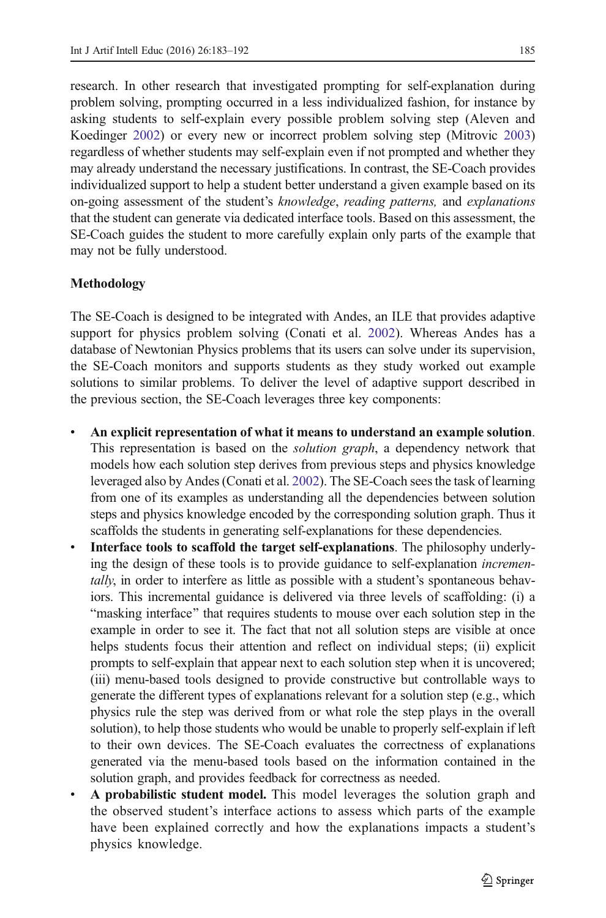research. In other research that investigated prompting for self-explanation during problem solving, prompting occurred in a less individualized fashion, for instance by asking students to self-explain every possible problem solving step (Aleven and Koedinger [2002](#page-8-0)) or every new or incorrect problem solving step (Mitrovic [2003](#page-8-0)) regardless of whether students may self-explain even if not prompted and whether they may already understand the necessary justifications. In contrast, the SE-Coach provides individualized support to help a student better understand a given example based on its on-going assessment of the student's knowledge, reading patterns, and explanations that the student can generate via dedicated interface tools. Based on this assessment, the SE-Coach guides the student to more carefully explain only parts of the example that may not be fully understood.

# Methodology

The SE-Coach is designed to be integrated with Andes, an ILE that provides adaptive support for physics problem solving (Conati et al. [2002\)](#page-8-0). Whereas Andes has a database of Newtonian Physics problems that its users can solve under its supervision, the SE-Coach monitors and supports students as they study worked out example solutions to similar problems. To deliver the level of adaptive support described in the previous section, the SE-Coach leverages three key components:

- & An explicit representation of what it means to understand an example solution. This representation is based on the solution graph, a dependency network that models how each solution step derives from previous steps and physics knowledge leveraged also by Andes (Conati et al. [2002\)](#page-8-0). The SE-Coach sees the task of learning from one of its examples as understanding all the dependencies between solution steps and physics knowledge encoded by the corresponding solution graph. Thus it scaffolds the students in generating self-explanations for these dependencies.
- & Interface tools to scaffold the target self-explanations. The philosophy underlying the design of these tools is to provide guidance to self-explanation incrementally, in order to interfere as little as possible with a student's spontaneous behaviors. This incremental guidance is delivered via three levels of scaffolding: (i) a "masking interface" that requires students to mouse over each solution step in the example in order to see it. The fact that not all solution steps are visible at once helps students focus their attention and reflect on individual steps; (ii) explicit prompts to self-explain that appear next to each solution step when it is uncovered; (iii) menu-based tools designed to provide constructive but controllable ways to generate the different types of explanations relevant for a solution step (e.g., which physics rule the step was derived from or what role the step plays in the overall solution), to help those students who would be unable to properly self-explain if left to their own devices. The SE-Coach evaluates the correctness of explanations generated via the menu-based tools based on the information contained in the solution graph, and provides feedback for correctness as needed.
- & A probabilistic student model. This model leverages the solution graph and the observed student's interface actions to assess which parts of the example have been explained correctly and how the explanations impacts a student's physics knowledge.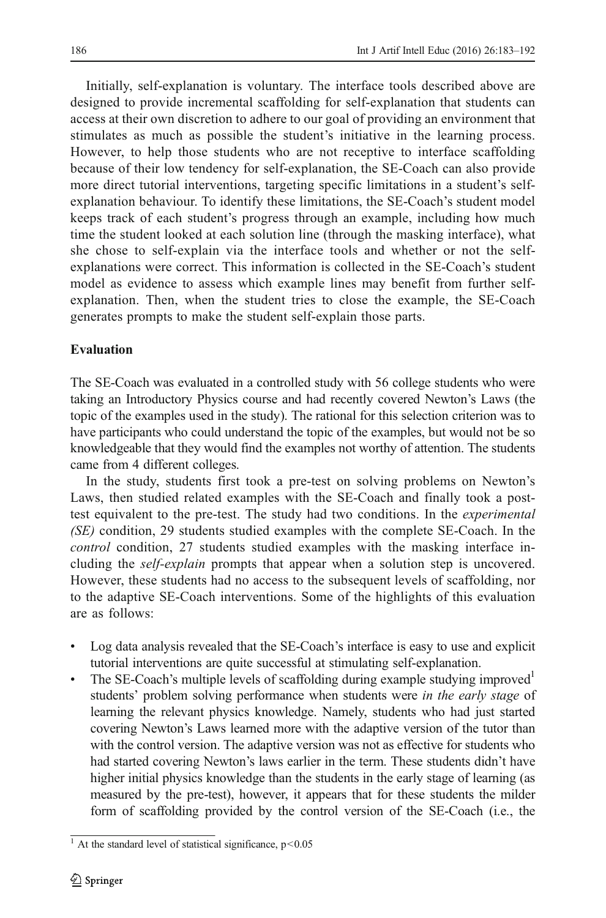Initially, self-explanation is voluntary. The interface tools described above are designed to provide incremental scaffolding for self-explanation that students can access at their own discretion to adhere to our goal of providing an environment that stimulates as much as possible the student's initiative in the learning process. However, to help those students who are not receptive to interface scaffolding because of their low tendency for self-explanation, the SE-Coach can also provide more direct tutorial interventions, targeting specific limitations in a student's selfexplanation behaviour. To identify these limitations, the SE-Coach's student model keeps track of each student's progress through an example, including how much time the student looked at each solution line (through the masking interface), what she chose to self-explain via the interface tools and whether or not the selfexplanations were correct. This information is collected in the SE-Coach's student model as evidence to assess which example lines may benefit from further selfexplanation. Then, when the student tries to close the example, the SE-Coach generates prompts to make the student self-explain those parts.

# Evaluation

The SE-Coach was evaluated in a controlled study with 56 college students who were taking an Introductory Physics course and had recently covered Newton's Laws (the topic of the examples used in the study). The rational for this selection criterion was to have participants who could understand the topic of the examples, but would not be so knowledgeable that they would find the examples not worthy of attention. The students came from 4 different colleges.

In the study, students first took a pre-test on solving problems on Newton's Laws, then studied related examples with the SE-Coach and finally took a posttest equivalent to the pre-test. The study had two conditions. In the *experimental* (SE) condition, 29 students studied examples with the complete SE-Coach. In the control condition, 27 students studied examples with the masking interface including the *self-explain* prompts that appear when a solution step is uncovered. However, these students had no access to the subsequent levels of scaffolding, nor to the adaptive SE-Coach interventions. Some of the highlights of this evaluation are as follows:

- Log data analysis revealed that the SE-Coach's interface is easy to use and explicit tutorial interventions are quite successful at stimulating self-explanation.
- The SE-Coach's multiple levels of scaffolding during example studying improved students' problem solving performance when students were *in the early stage* of learning the relevant physics knowledge. Namely, students who had just started covering Newton's Laws learned more with the adaptive version of the tutor than with the control version. The adaptive version was not as effective for students who had started covering Newton's laws earlier in the term. These students didn't have higher initial physics knowledge than the students in the early stage of learning (as measured by the pre-test), however, it appears that for these students the milder form of scaffolding provided by the control version of the SE-Coach (i.e., the

<sup>&</sup>lt;sup>1</sup> At the standard level of statistical significance,  $p < 0.05$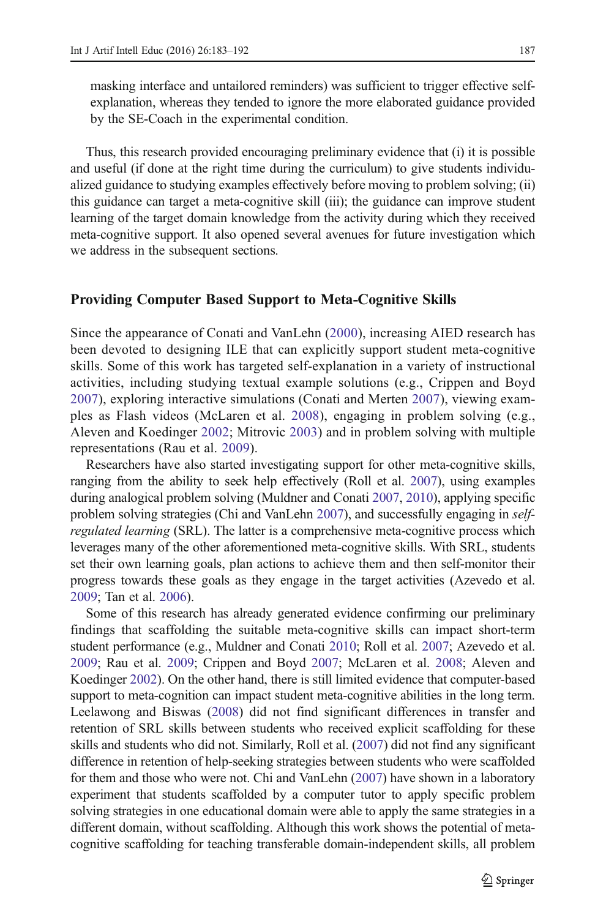masking interface and untailored reminders) was sufficient to trigger effective selfexplanation, whereas they tended to ignore the more elaborated guidance provided by the SE-Coach in the experimental condition.

Thus, this research provided encouraging preliminary evidence that (i) it is possible and useful (if done at the right time during the curriculum) to give students individualized guidance to studying examples effectively before moving to problem solving; (ii) this guidance can target a meta-cognitive skill (iii); the guidance can improve student learning of the target domain knowledge from the activity during which they received meta-cognitive support. It also opened several avenues for future investigation which we address in the subsequent sections.

### Providing Computer Based Support to Meta-Cognitive Skills

Since the appearance of Conati and VanLehn [\(2000\)](#page-8-0), increasing AIED research has been devoted to designing ILE that can explicitly support student meta-cognitive skills. Some of this work has targeted self-explanation in a variety of instructional activities, including studying textual example solutions (e.g., Crippen and Boyd [2007](#page-8-0)), exploring interactive simulations (Conati and Merten [2007](#page-8-0)), viewing examples as Flash videos (McLaren et al. [2008\)](#page-8-0), engaging in problem solving (e.g., Aleven and Koedinger [2002](#page-8-0); Mitrovic [2003\)](#page-8-0) and in problem solving with multiple representations (Rau et al. [2009](#page-8-0)).

Researchers have also started investigating support for other meta-cognitive skills, ranging from the ability to seek help effectively (Roll et al. [2007](#page-9-0)), using examples during analogical problem solving (Muldner and Conati [2007,](#page-8-0) [2010](#page-8-0)), applying specific problem solving strategies (Chi and VanLehn [2007](#page-8-0)), and successfully engaging in selfregulated learning (SRL). The latter is a comprehensive meta-cognitive process which leverages many of the other aforementioned meta-cognitive skills. With SRL, students set their own learning goals, plan actions to achieve them and then self-monitor their progress towards these goals as they engage in the target activities (Azevedo et al. [2009;](#page-8-0) Tan et al. [2006](#page-9-0)).

Some of this research has already generated evidence confirming our preliminary findings that scaffolding the suitable meta-cognitive skills can impact short-term student performance (e.g., Muldner and Conati [2010](#page-8-0); Roll et al. [2007;](#page-9-0) Azevedo et al. [2009;](#page-8-0) Rau et al. [2009;](#page-8-0) Crippen and Boyd [2007;](#page-8-0) McLaren et al. [2008;](#page-8-0) Aleven and Koedinger [2002\)](#page-8-0). On the other hand, there is still limited evidence that computer-based support to meta-cognition can impact student meta-cognitive abilities in the long term. Leelawong and Biswas ([2008](#page-8-0)) did not find significant differences in transfer and retention of SRL skills between students who received explicit scaffolding for these skills and students who did not. Similarly, Roll et al. ([2007](#page-9-0)) did not find any significant difference in retention of help-seeking strategies between students who were scaffolded for them and those who were not. Chi and VanLehn ([2007](#page-8-0)) have shown in a laboratory experiment that students scaffolded by a computer tutor to apply specific problem solving strategies in one educational domain were able to apply the same strategies in a different domain, without scaffolding. Although this work shows the potential of metacognitive scaffolding for teaching transferable domain-independent skills, all problem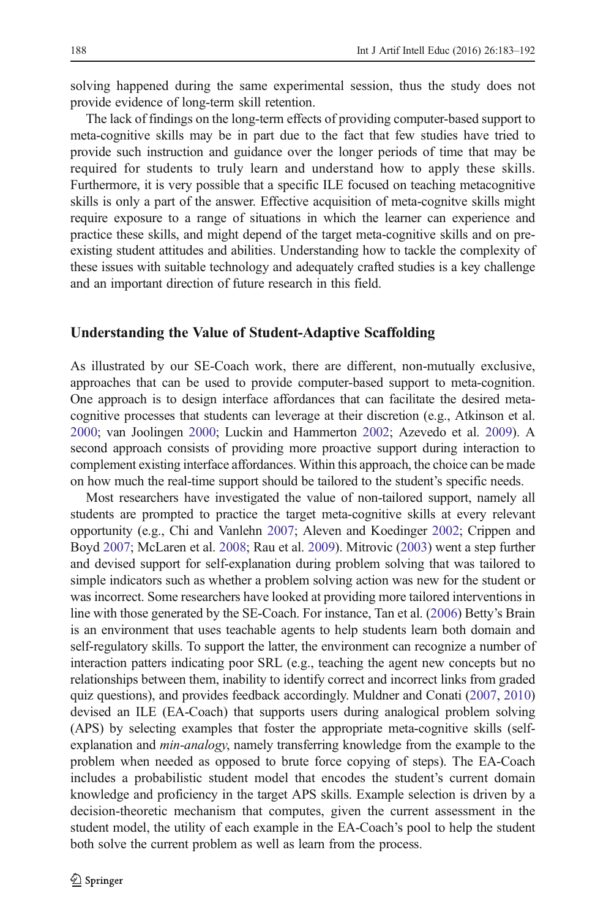solving happened during the same experimental session, thus the study does not provide evidence of long-term skill retention.

The lack of findings on the long-term effects of providing computer-based support to meta-cognitive skills may be in part due to the fact that few studies have tried to provide such instruction and guidance over the longer periods of time that may be required for students to truly learn and understand how to apply these skills. Furthermore, it is very possible that a specific ILE focused on teaching metacognitive skills is only a part of the answer. Effective acquisition of meta-cognitve skills might require exposure to a range of situations in which the learner can experience and practice these skills, and might depend of the target meta-cognitive skills and on preexisting student attitudes and abilities. Understanding how to tackle the complexity of these issues with suitable technology and adequately crafted studies is a key challenge and an important direction of future research in this field.

## Understanding the Value of Student-Adaptive Scaffolding

As illustrated by our SE-Coach work, there are different, non-mutually exclusive, approaches that can be used to provide computer-based support to meta-cognition. One approach is to design interface affordances that can facilitate the desired metacognitive processes that students can leverage at their discretion (e.g., Atkinson et al. [2000;](#page-8-0) van Joolingen [2000](#page-9-0); Luckin and Hammerton [2002;](#page-8-0) Azevedo et al. [2009\)](#page-8-0). A second approach consists of providing more proactive support during interaction to complement existing interface affordances. Within this approach, the choice can be made on how much the real-time support should be tailored to the student's specific needs.

Most researchers have investigated the value of non-tailored support, namely all students are prompted to practice the target meta-cognitive skills at every relevant opportunity (e.g., Chi and Vanlehn [2007](#page-8-0); Aleven and Koedinger [2002](#page-8-0); Crippen and Boyd [2007](#page-8-0); McLaren et al. [2008;](#page-8-0) Rau et al. [2009\)](#page-8-0). Mitrovic ([2003](#page-8-0)) went a step further and devised support for self-explanation during problem solving that was tailored to simple indicators such as whether a problem solving action was new for the student or was incorrect. Some researchers have looked at providing more tailored interventions in line with those generated by the SE-Coach. For instance, Tan et al. [\(2006\)](#page-9-0) Betty's Brain is an environment that uses teachable agents to help students learn both domain and self-regulatory skills. To support the latter, the environment can recognize a number of interaction patters indicating poor SRL (e.g., teaching the agent new concepts but no relationships between them, inability to identify correct and incorrect links from graded quiz questions), and provides feedback accordingly. Muldner and Conati ([2007](#page-8-0), [2010](#page-8-0)) devised an ILE (EA-Coach) that supports users during analogical problem solving (APS) by selecting examples that foster the appropriate meta-cognitive skills (selfexplanation and *min-analogy*, namely transferring knowledge from the example to the problem when needed as opposed to brute force copying of steps). The EA-Coach includes a probabilistic student model that encodes the student's current domain knowledge and proficiency in the target APS skills. Example selection is driven by a decision-theoretic mechanism that computes, given the current assessment in the student model, the utility of each example in the EA-Coach's pool to help the student both solve the current problem as well as learn from the process.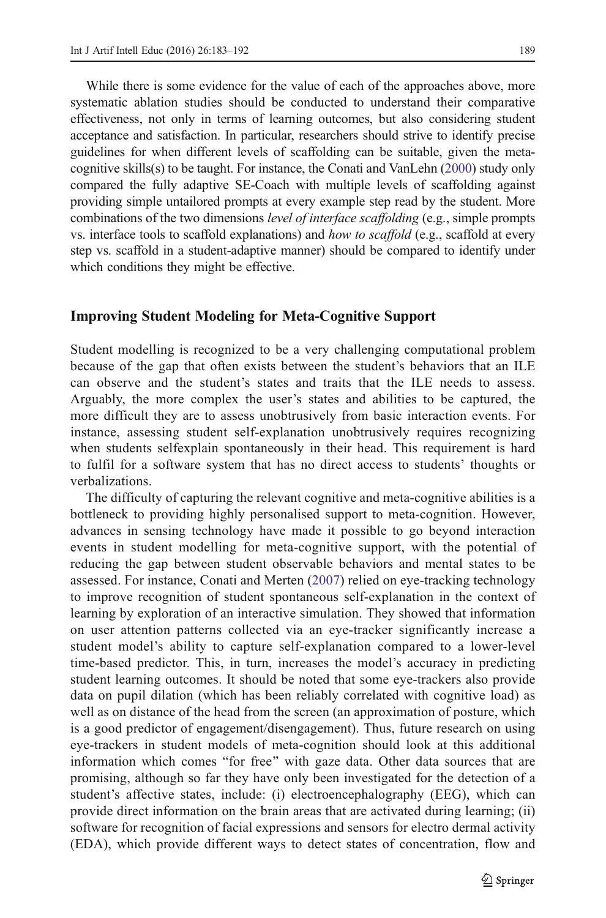While there is some evidence for the value of each of the approaches above, more systematic ablation studies should be conducted to understand their comparative effectiveness, not only in terms of learning outcomes, but also considering student acceptance and satisfaction. In particular, researchers should strive to identify precise guidelines for when different levels of scaffolding can be suitable, given the metacognitive skills(s) to be taught. For instance, the Conati and VanLehn ([2000](#page-8-0)) study only compared the fully adaptive SE-Coach with multiple levels of scaffolding against providing simple untailored prompts at every example step read by the student. More combinations of the two dimensions *level of interface scaffolding* (e.g., simple prompts vs. interface tools to scaffold explanations) and how to scaffold (e.g., scaffold at every step vs. scaffold in a student-adaptive manner) should be compared to identify under which conditions they might be effective.

# Improving Student Modeling for Meta-Cognitive Support

Student modelling is recognized to be a very challenging computational problem because of the gap that often exists between the student's behaviors that an ILE can observe and the student's states and traits that the ILE needs to assess. Arguably, the more complex the user's states and abilities to be captured, the more difficult they are to assess unobtrusively from basic interaction events. For instance, assessing student self-explanation unobtrusively requires recognizing when students selfexplain spontaneously in their head. This requirement is hard to fulfil for a software system that has no direct access to students' thoughts or verbalizations.

The difficulty of capturing the relevant cognitive and meta-cognitive abilities is a bottleneck to providing highly personalised support to meta-cognition. However, advances in sensing technology have made it possible to go beyond interaction events in student modelling for meta-cognitive support, with the potential of reducing the gap between student observable behaviors and mental states to be assessed. For instance, Conati and Merten [\(2007\)](#page-8-0) relied on eye-tracking technology to improve recognition of student spontaneous self-explanation in the context of learning by exploration of an interactive simulation. They showed that information on user attention patterns collected via an eye-tracker significantly increase a student model's ability to capture self-explanation compared to a lower-level time-based predictor. This, in turn, increases the model's accuracy in predicting student learning outcomes. It should be noted that some eye-trackers also provide data on pupil dilation (which has been reliably correlated with cognitive load) as well as on distance of the head from the screen (an approximation of posture, which is a good predictor of engagement/disengagement). Thus, future research on using eye-trackers in student models of meta-cognition should look at this additional information which comes "for free" with gaze data. Other data sources that are promising, although so far they have only been investigated for the detection of a student's affective states, include: (i) electroencephalography (EEG), which can provide direct information on the brain areas that are activated during learning; (ii) software for recognition of facial expressions and sensors for electro dermal activity (EDA), which provide different ways to detect states of concentration, flow and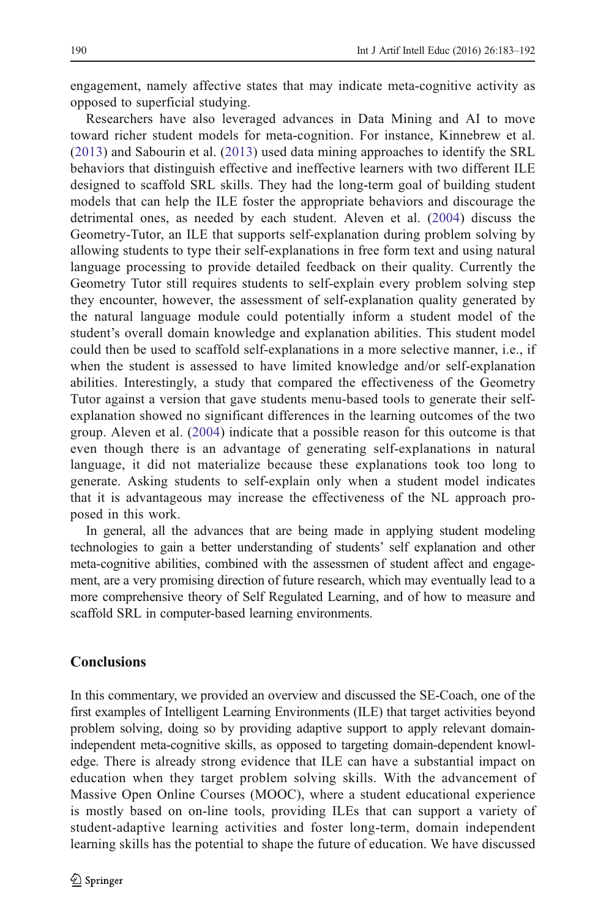engagement, namely affective states that may indicate meta-cognitive activity as opposed to superficial studying.

Researchers have also leveraged advances in Data Mining and AI to move toward richer student models for meta-cognition. For instance, Kinnebrew et al. [\(2013\)](#page-8-0) and Sabourin et al. [\(2013\)](#page-9-0) used data mining approaches to identify the SRL behaviors that distinguish effective and ineffective learners with two different ILE designed to scaffold SRL skills. They had the long-term goal of building student models that can help the ILE foster the appropriate behaviors and discourage the detrimental ones, as needed by each student. Aleven et al. ([2004\)](#page-8-0) discuss the Geometry-Tutor, an ILE that supports self-explanation during problem solving by allowing students to type their self-explanations in free form text and using natural language processing to provide detailed feedback on their quality. Currently the Geometry Tutor still requires students to self-explain every problem solving step they encounter, however, the assessment of self-explanation quality generated by the natural language module could potentially inform a student model of the student's overall domain knowledge and explanation abilities. This student model could then be used to scaffold self-explanations in a more selective manner, i.e., if when the student is assessed to have limited knowledge and/or self-explanation abilities. Interestingly, a study that compared the effectiveness of the Geometry Tutor against a version that gave students menu-based tools to generate their selfexplanation showed no significant differences in the learning outcomes of the two group. Aleven et al. [\(2004\)](#page-8-0) indicate that a possible reason for this outcome is that even though there is an advantage of generating self-explanations in natural language, it did not materialize because these explanations took too long to generate. Asking students to self-explain only when a student model indicates that it is advantageous may increase the effectiveness of the NL approach proposed in this work.

In general, all the advances that are being made in applying student modeling technologies to gain a better understanding of students' self explanation and other meta-cognitive abilities, combined with the assessmen of student affect and engagement, are a very promising direction of future research, which may eventually lead to a more comprehensive theory of Self Regulated Learning, and of how to measure and scaffold SRL in computer-based learning environments.

## **Conclusions**

In this commentary, we provided an overview and discussed the SE-Coach, one of the first examples of Intelligent Learning Environments (ILE) that target activities beyond problem solving, doing so by providing adaptive support to apply relevant domainindependent meta-cognitive skills, as opposed to targeting domain-dependent knowledge. There is already strong evidence that ILE can have a substantial impact on education when they target problem solving skills. With the advancement of Massive Open Online Courses (MOOC), where a student educational experience is mostly based on on-line tools, providing ILEs that can support a variety of student-adaptive learning activities and foster long-term, domain independent learning skills has the potential to shape the future of education. We have discussed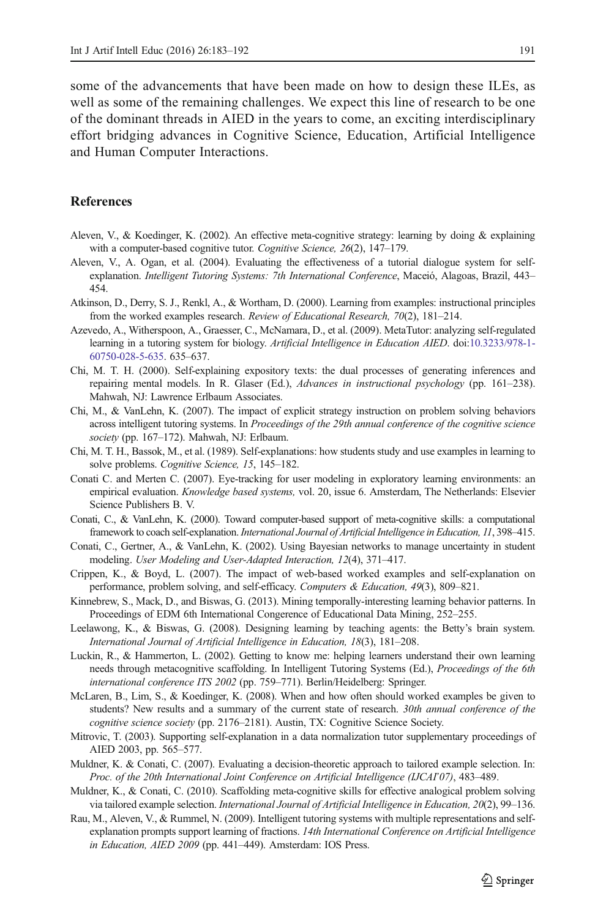<span id="page-8-0"></span>some of the advancements that have been made on how to design these ILEs, as well as some of the remaining challenges. We expect this line of research to be one of the dominant threads in AIED in the years to come, an exciting interdisciplinary effort bridging advances in Cognitive Science, Education, Artificial Intelligence and Human Computer Interactions.

#### References

- Aleven, V., & Koedinger, K. (2002). An effective meta-cognitive strategy: learning by doing & explaining with a computer-based cognitive tutor. Cognitive Science, 26(2), 147–179.
- Aleven, V., A. Ogan, et al. (2004). Evaluating the effectiveness of a tutorial dialogue system for selfexplanation. Intelligent Tutoring Systems: 7th International Conference, Maceió, Alagoas, Brazil, 443– 454.
- Atkinson, D., Derry, S. J., Renkl, A., & Wortham, D. (2000). Learning from examples: instructional principles from the worked examples research. Review of Educational Research, 70(2), 181–214.
- Azevedo, A., Witherspoon, A., Graesser, C., McNamara, D., et al. (2009). MetaTutor: analyzing self-regulated learning in a tutoring system for biology. Artificial Intelligence in Education AIED. doi:[10.3233/978-1-](http://dx.doi.org/10.3233/978-1-60750-028-5-635) [60750-028-5-635.](http://dx.doi.org/10.3233/978-1-60750-028-5-635) 635–637.
- Chi, M. T. H. (2000). Self-explaining expository texts: the dual processes of generating inferences and repairing mental models. In R. Glaser (Ed.), Advances in instructional psychology (pp. 161–238). Mahwah, NJ: Lawrence Erlbaum Associates.
- Chi, M., & VanLehn, K. (2007). The impact of explicit strategy instruction on problem solving behaviors across intelligent tutoring systems. In Proceedings of the 29th annual conference of the cognitive science society (pp. 167–172). Mahwah, NJ: Erlbaum.
- Chi, M. T. H., Bassok, M., et al. (1989). Self-explanations: how students study and use examples in learning to solve problems. Cognitive Science, 15, 145–182.
- Conati C. and Merten C. (2007). Eye-tracking for user modeling in exploratory learning environments: an empirical evaluation. Knowledge based systems, vol. 20, issue 6. Amsterdam, The Netherlands: Elsevier Science Publishers B. V.
- Conati, C., & VanLehn, K. (2000). Toward computer-based support of meta-cognitive skills: a computational framework to coach self-explanation. International Journal of Artificial Intelligence in Education, 11, 398-415.
- Conati, C., Gertner, A., & VanLehn, K. (2002). Using Bayesian networks to manage uncertainty in student modeling. User Modeling and User-Adapted Interaction, 12(4), 371–417.
- Crippen, K., & Boyd, L. (2007). The impact of web-based worked examples and self-explanation on performance, problem solving, and self-efficacy. Computers & Education, 49(3), 809–821.
- Kinnebrew, S., Mack, D., and Biswas, G. (2013). Mining temporally-interesting learning behavior patterns. In Proceedings of EDM 6th International Congerence of Educational Data Mining, 252–255.
- Leelawong, K., & Biswas, G. (2008). Designing learning by teaching agents: the Betty's brain system. International Journal of Artificial Intelligence in Education, 18(3), 181–208.
- Luckin, R., & Hammerton, L. (2002). Getting to know me: helping learners understand their own learning needs through metacognitive scaffolding. In Intelligent Tutoring Systems (Ed.), Proceedings of the 6th international conference ITS 2002 (pp. 759–771). Berlin/Heidelberg: Springer.
- McLaren, B., Lim, S., & Koedinger, K. (2008). When and how often should worked examples be given to students? New results and a summary of the current state of research. 30th annual conference of the cognitive science society (pp. 2176–2181). Austin, TX: Cognitive Science Society.
- Mitrovic, T. (2003). Supporting self-explanation in a data normalization tutor supplementary proceedings of AIED 2003, pp. 565–577.
- Muldner, K. & Conati, C. (2007). Evaluating a decision-theoretic approach to tailored example selection. In: Proc. of the 20th International Joint Conference on Artificial Intelligence (IJCAI'07), 483–489.
- Muldner, K., & Conati, C. (2010). Scaffolding meta-cognitive skills for effective analogical problem solving via tailored example selection. International Journal of Artificial Intelligence in Education, 20(2), 99–136.
- Rau, M., Aleven, V., & Rummel, N. (2009). Intelligent tutoring systems with multiple representations and selfexplanation prompts support learning of fractions. 14th International Conference on Artificial Intelligence in Education, AIED 2009 (pp. 441–449). Amsterdam: IOS Press.